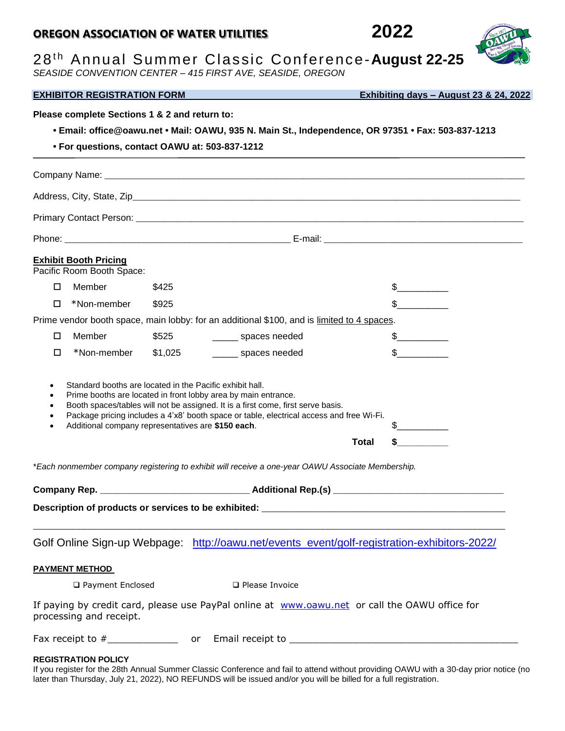# **OREGON ASSOCIATION OF WATER UTILITIES 2022**



28 t h Annual Summer Classic Conference-**August 22-25** 

*SEASIDE CONVENTION CENTER – 415 FIRST AVE, SEASIDE, OREGON*

| <b>EXHIBITOR REGISTRATION FORM</b>                                                                                                                                                                    |                                                                                                                |                                                                                                                                                                                                                                                |              | Exhibiting days - August 23 & 24, 2022                                                                                                 |
|-------------------------------------------------------------------------------------------------------------------------------------------------------------------------------------------------------|----------------------------------------------------------------------------------------------------------------|------------------------------------------------------------------------------------------------------------------------------------------------------------------------------------------------------------------------------------------------|--------------|----------------------------------------------------------------------------------------------------------------------------------------|
| Please complete Sections 1 & 2 and return to:<br>• Email: office@oawu.net • Mail: OAWU, 935 N. Main St., Independence, OR 97351 • Fax: 503-837-1213<br>• For questions, contact OAWU at: 503-837-1212 |                                                                                                                |                                                                                                                                                                                                                                                |              |                                                                                                                                        |
|                                                                                                                                                                                                       |                                                                                                                |                                                                                                                                                                                                                                                |              |                                                                                                                                        |
|                                                                                                                                                                                                       |                                                                                                                |                                                                                                                                                                                                                                                |              |                                                                                                                                        |
|                                                                                                                                                                                                       |                                                                                                                |                                                                                                                                                                                                                                                |              |                                                                                                                                        |
| <b>Exhibit Booth Pricing</b><br>Pacific Room Booth Space:                                                                                                                                             |                                                                                                                |                                                                                                                                                                                                                                                |              |                                                                                                                                        |
| Member<br>□                                                                                                                                                                                           | \$425                                                                                                          |                                                                                                                                                                                                                                                |              | $\sim$                                                                                                                                 |
| П<br>*Non-member                                                                                                                                                                                      | \$925                                                                                                          |                                                                                                                                                                                                                                                |              | $\mathbb{S}$                                                                                                                           |
|                                                                                                                                                                                                       |                                                                                                                | Prime vendor booth space, main lobby: for an additional \$100, and is limited to 4 spaces.                                                                                                                                                     |              |                                                                                                                                        |
| Member<br>□                                                                                                                                                                                           | \$525                                                                                                          | spaces needed                                                                                                                                                                                                                                  |              | $\frac{1}{2}$                                                                                                                          |
| *Non-member<br>□                                                                                                                                                                                      | \$1,025                                                                                                        | spaces needed                                                                                                                                                                                                                                  |              | $\mathbb{S}$                                                                                                                           |
| ٠<br>$\bullet$                                                                                                                                                                                        | Standard booths are located in the Pacific exhibit hall.<br>Additional company representatives are \$150 each. | Prime booths are located in front lobby area by main entrance.<br>Booth spaces/tables will not be assigned. It is a first come, first serve basis.<br>Package pricing includes a 4'x8' booth space or table, electrical access and free Wi-Fi. | <b>Total</b> |                                                                                                                                        |
|                                                                                                                                                                                                       |                                                                                                                |                                                                                                                                                                                                                                                |              |                                                                                                                                        |
|                                                                                                                                                                                                       |                                                                                                                | *Each nonmember company registering to exhibit will receive a one-year OAWU Associate Membership.                                                                                                                                              |              |                                                                                                                                        |
| Company Rep.                                                                                                                                                                                          |                                                                                                                |                                                                                                                                                                                                                                                |              |                                                                                                                                        |
|                                                                                                                                                                                                       |                                                                                                                |                                                                                                                                                                                                                                                |              |                                                                                                                                        |
|                                                                                                                                                                                                       |                                                                                                                | Golf Online Sign-up Webpage: http://oawu.net/events_event/golf-registration-exhibitors-2022/                                                                                                                                                   |              |                                                                                                                                        |
| <b>PAYMENT METHOD</b>                                                                                                                                                                                 |                                                                                                                |                                                                                                                                                                                                                                                |              |                                                                                                                                        |
| □ Payment Enclosed                                                                                                                                                                                    |                                                                                                                | □ Please Invoice                                                                                                                                                                                                                               |              |                                                                                                                                        |
| processing and receipt.                                                                                                                                                                               |                                                                                                                | If paying by credit card, please use PayPal online at www.oawu.net or call the OAWU office for                                                                                                                                                 |              |                                                                                                                                        |
|                                                                                                                                                                                                       |                                                                                                                |                                                                                                                                                                                                                                                |              |                                                                                                                                        |
| <b>REGISTRATION POLICY</b>                                                                                                                                                                            |                                                                                                                | later than Thursday, July 21, 2022), NO REFUNDS will be issued and/or you will be billed for a full registration.                                                                                                                              |              | If you register for the 28th Annual Summer Classic Conference and fail to attend without providing OAWU with a 30-day prior notice (no |